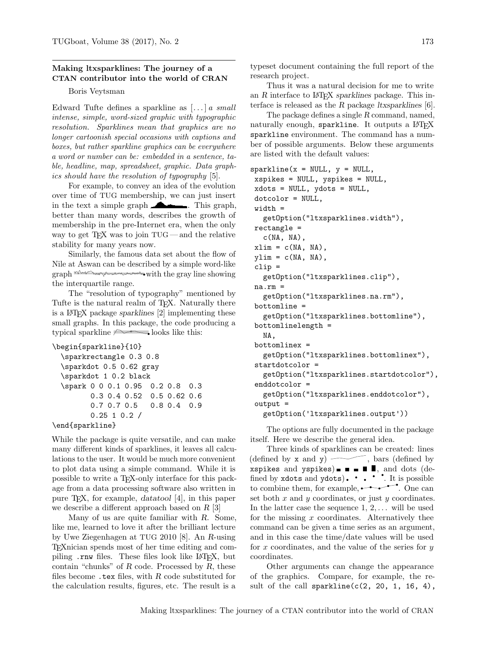## Making ltxsparklines: The journey of a CTAN contributor into the world of CRAN

## Boris Veytsman

Edward Tufte defines a sparkline as  $[\dots]$  a small intense, simple, word-sized graphic with typographic resolution. Sparklines mean that graphics are no longer cartoonish special occasions with captions and boxes, but rather sparkline graphics can be everywhere a word or number can be: embedded in a sentence, table, headline, map, spreadsheet, graphic. Data graphics should have the resolution of typography [\[5\]](#page-1-0).

For example, to convey an idea of the evolution over time of TUG membership, we can just insert in the text a simple graph  $\blacksquare$ . This graph, better than many words, describes the growth of membership in the pre-Internet era, when the only way to get  $TFX$  was to join  $TUG$  — and the relative stability for many years now.

Similarly, the famous data set about the flow of Nile at Aswan can be described by a simple word-like graph with the gray line showing the interquartile range.

The "resolution of typography" mentioned by Tufte is the natural realm of T<sub>E</sub>X. Naturally there is a LATEX package sparklines [\[2\]](#page-1-1) implementing these small graphs. In this package, the code producing a typical sparkline  $\sim$  looks like this:

```
\begin{sparkline}{10}
```

```
\sparkrectangle 0.3 0.8
\sparkdot 0.5 0.62 gray
\sparkdot 1 0.2 black
\spark 0 0 0.1 0.95 0.2 0.8 0.3
      0.3 0.4 0.52 0.5 0.62 0.6
      0.7 0.7 0.5 0.8 0.4 0.9
      0.25 1 0.2 /
```
\end{sparkline}

While the package is quite versatile, and can make many different kinds of sparklines, it leaves all calculations to the user. It would be much more convenient to plot data using a simple command. While it is possible to write a TEX-only interface for this package from a data processing software also written in pure TEX, for example, datatool [\[4\]](#page-1-2), in this paper we describe a different approach based on R [\[3\]](#page-1-3)

Many of us are quite familiar with R. Some, like me, learned to love it after the brilliant lecture by Uwe Ziegenhagen at TUG 2010 [\[8\]](#page-1-4). An R-using TEXnician spends most of her time editing and compiling .rnw files. These files look like LATEX, but contain "chunks" of  $R$  code. Processed by  $R$ , these files become  $\cdot$  tex files, with R code substituted for the calculation results, figures, etc. The result is a

typeset document containing the full report of the research project.

Thus it was a natural decision for me to write an  $R$  interface to LAT<sub>F</sub>X sparklines package. This interface is released as the R package ltxsparklines  $[6]$ .

The package defines a single R command, named, naturally enough, sparkline. It outputs a  $LATFX$ sparkline environment. The command has a number of possible arguments. Below these arguments are listed with the default values:

```
sparkline(x = NULL, y = NULL,xspikes = NULL, yspikes = NULL,
xdots = NULL, ydots = NULL,
 dotcolor = NULL,
 width =
   getOption("ltxsparklines.width"),
rectangle =
   c(NA, NA),
xlim = c(NA, NA),
ylim = c(NA, NA),
 clip =
   getOption("ltxsparklines.clip"),
na.rm =
   getOption("ltxsparklines.na.rm"),
bottomline =
   getOption("ltxsparklines.bottomline"),
bottomlinelength =
   NA,
bottomlinex =
   getOption("ltxsparklines.bottomlinex"),
 startdotcolor =
   getOption("ltxsparklines.startdotcolor"),
 enddotcolor =
   getOption("ltxsparklines.enddotcolor"),
 output =
   getOption('ltxsparklines.output'))
```
The options are fully documented in the package itself. Here we describe the general idea.

Three kinds of sparklines can be created: lines (defined by  $x$  and  $y$ )  $\sim$ , bars (defined by xspikes and yspikes)  $\blacksquare$   $\blacksquare$   $\blacksquare$   $\blacksquare$ , and dots (defined by xdots and ydots).  $\cdot \cdot \cdot$  . It is possible to combine them, for example,  $\bullet$  . One can set both  $x$  and  $y$  coordinates, or just  $y$  coordinates. In the latter case the sequence  $1, 2, \ldots$  will be used for the missing  $x$  coordinates. Alternatively thee command can be given a time series as an argument, and in this case the time/date values will be used for  $x$  coordinates, and the value of the series for  $y$ coordinates.

Other arguments can change the appearance of the graphics. Compare, for example, the result of the call sparkline( $c(2, 20, 1, 16, 4)$ ,